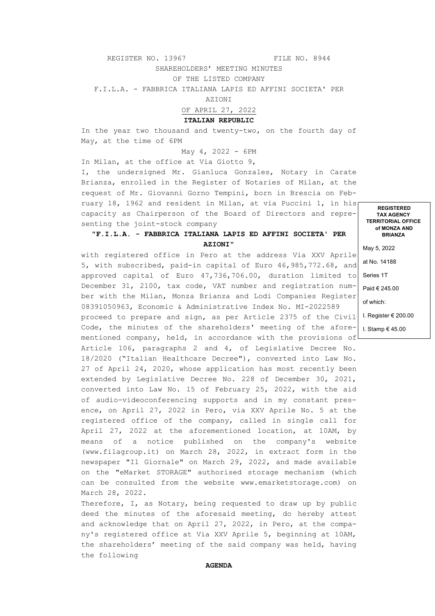REGISTER NO. 13967 FILE NO. 8944

SHAREHOLDERS' MEETING MINUTES

OF THE LISTED COMPANY

F.I.L.A. - FABBRICA ITALIANA LAPIS ED AFFINI SOCIETA' PER

AZIONI

OF APRIL 27, 2022

**ITALIAN REPUBLIC**

In the year two thousand and twenty-two, on the fourth day of May, at the time of 6PM

May 4, 2022 - 6PM

In Milan, at the office at Via Giotto 9, I, the undersigned Mr. Gianluca Gonzales, Notary in Carate Brianza, enrolled in the Register of Notaries of Milan, at the request of Mr. Giovanni Gorno Tempini, born in Brescia on February 18, 1962 and resident in Milan, at via Puccini 1, in his capacity as Chairperson of the Board of Directors and representing the joint-stock company

## "**F.I.L.A. - FABBRICA ITALIANA LAPIS ED AFFINI SOCIETA' PER AZIONI**"

with registered office in Pero at the address Via XXV Aprile 5, with subscribed, paid-in capital of Euro 46,985,772.68, and approved capital of Euro 47,736,706.00, duration limited to December 31, 2100, tax code, VAT number and registration number with the Milan, Monza Brianza and Lodi Companies Register 08391050963, Economic & Administrative Index No. MI-2022589

proceed to prepare and sign, as per Article 2375 of the Civil Code, the minutes of the shareholders' meeting of the afore-| I. Stamp€45.00 mentioned company, held, in accordance with the provisions of

Article 106, paragraphs 2 and 4, of Legislative Decree No. 18/2020 ("Italian Healthcare Decree"), converted into Law No. 27 of April 24, 2020, whose application has most recently been extended by Legislative Decree No. 228 of December 30, 2021, converted into Law No. 15 of February 25, 2022, with the aid of audio-videoconferencing supports and in my constant presence, on April 27, 2022 in Pero, via XXV Aprile No. 5 at the registered office of the company, called in single call for April 27, 2022 at the aforementioned location, at 10AM, by means of a notice published on the company's website (www.filagroup.it) on March 28, 2022, in extract form in the newspaper "Il Giornale" on March 29, 2022, and made available on the "eMarket STORAGE" authorised storage mechanism (which can be consulted from the website www.emarketstorage.com) on March 28, 2022.

Therefore, I, as Notary, being requested to draw up by public deed the minutes of the aforesaid meeting, do hereby attest and acknowledge that on April 27, 2022, in Pero, at the company's registered office at Via XXV Aprile 5, beginning at 10AM, the shareholders' meeting of the said company was held, having the following

**TAX AGENCY TERRITORIAL OFFICE of MONZA AND BRIANZA**

**REGISTERED** 

May 5, 2022 at No. 14188 Series 1T Paid € 245.00 of which: I. Register € 200.00

**AGENDA**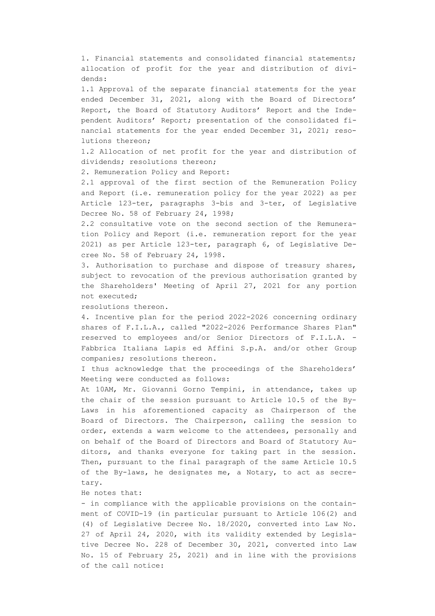1. Financial statements and consolidated financial statements; allocation of profit for the year and distribution of dividends:

1.1 Approval of the separate financial statements for the year ended December 31, 2021, along with the Board of Directors' Report, the Board of Statutory Auditors' Report and the Independent Auditors' Report; presentation of the consolidated financial statements for the year ended December 31, 2021; resolutions thereon;

1.2 Allocation of net profit for the year and distribution of dividends; resolutions thereon;

2. Remuneration Policy and Report:

2.1 approval of the first section of the Remuneration Policy and Report (i.e. remuneration policy for the year 2022) as per Article 123-ter, paragraphs 3-bis and 3-ter, of Legislative Decree No. 58 of February 24, 1998;

2.2 consultative vote on the second section of the Remuneration Policy and Report (i.e. remuneration report for the year 2021) as per Article 123-ter, paragraph 6, of Legislative Decree No. 58 of February 24, 1998.

3. Authorisation to purchase and dispose of treasury shares, subject to revocation of the previous authorisation granted by the Shareholders' Meeting of April 27, 2021 for any portion not executed;

resolutions thereon.

4. Incentive plan for the period 2022-2026 concerning ordinary shares of F.I.L.A., called "2022-2026 Performance Shares Plan" reserved to employees and/or Senior Directors of F.I.L.A. - Fabbrica Italiana Lapis ed Affini S.p.A. and/or other Group companies; resolutions thereon.

I thus acknowledge that the proceedings of the Shareholders' Meeting were conducted as follows:

At 10AM, Mr. Giovanni Gorno Tempini, in attendance, takes up the chair of the session pursuant to Article 10.5 of the By-Laws in his aforementioned capacity as Chairperson of the Board of Directors. The Chairperson, calling the session to order, extends a warm welcome to the attendees, personally and on behalf of the Board of Directors and Board of Statutory Auditors, and thanks everyone for taking part in the session. Then, pursuant to the final paragraph of the same Article 10.5 of the By-laws, he designates me, a Notary, to act as secretary.

He notes that:

- in compliance with the applicable provisions on the containment of COVID-19 (in particular pursuant to Article 106(2) and (4) of Legislative Decree No. 18/2020, converted into Law No. 27 of April 24, 2020, with its validity extended by Legislative Decree No. 228 of December 30, 2021, converted into Law No. 15 of February 25, 2021) and in line with the provisions of the call notice: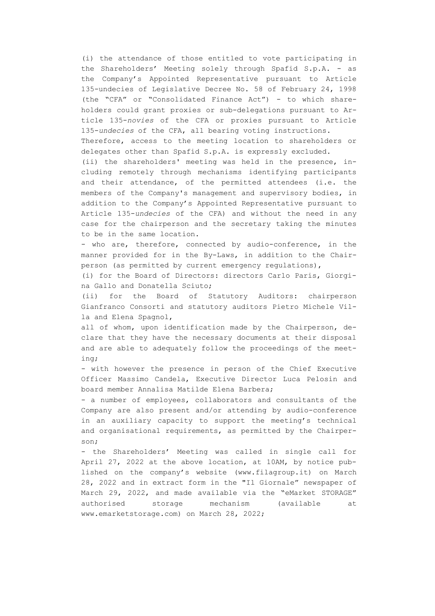(i) the attendance of those entitled to vote participating in the Shareholders' Meeting solely through Spafid S.p.A. - as the Company's Appointed Representative pursuant to Article 135-undecies of Legislative Decree No. 58 of February 24, 1998 (the "CFA" or "Consolidated Finance Act") - to which shareholders could grant proxies or sub-delegations pursuant to Article 135-*novies* of the CFA or proxies pursuant to Article 135-*undecies* of the CFA, all bearing voting instructions.

Therefore, access to the meeting location to shareholders or delegates other than Spafid S.p.A. is expressly excluded.

(ii) the shareholders' meeting was held in the presence, including remotely through mechanisms identifying participants and their attendance, of the permitted attendees (i.e. the members of the Company's management and supervisory bodies, in addition to the Company's Appointed Representative pursuant to Article 135-*undecies* of the CFA) and without the need in any case for the chairperson and the secretary taking the minutes to be in the same location.

- who are, therefore, connected by audio-conference, in the manner provided for in the By-Laws, in addition to the Chairperson (as permitted by current emergency regulations),

(i) for the Board of Directors: directors Carlo Paris, Giorgina Gallo and Donatella Sciuto;

(ii) for the Board of Statutory Auditors: chairperson Gianfranco Consorti and statutory auditors Pietro Michele Villa and Elena Spagnol,

all of whom, upon identification made by the Chairperson, declare that they have the necessary documents at their disposal and are able to adequately follow the proceedings of the meeting;

- with however the presence in person of the Chief Executive Officer Massimo Candela, Executive Director Luca Pelosin and board member Annalisa Matilde Elena Barbera;

- a number of employees, collaborators and consultants of the Company are also present and/or attending by audio-conference in an auxiliary capacity to support the meeting's technical and organisational requirements, as permitted by the Chairperson;

- the Shareholders' Meeting was called in single call for April 27, 2022 at the above location, at 10AM, by notice published on the company's website (www.filagroup.it) on March 28, 2022 and in extract form in the "Il Giornale" newspaper of March 29, 2022, and made available via the "eMarket STORAGE" authorised storage mechanism (available at www.emarketstorage.com) on March 28, 2022;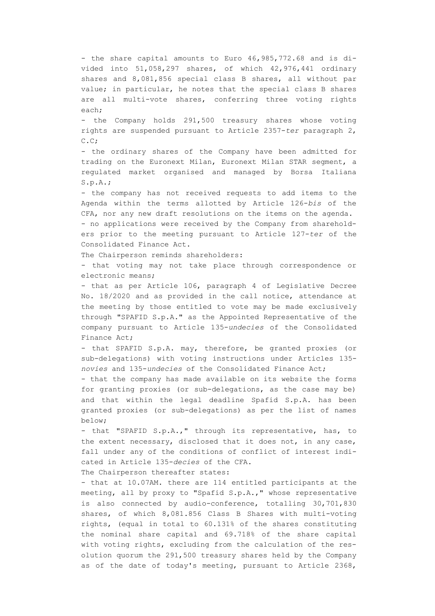- the share capital amounts to Euro 46,985,772.68 and is divided into 51,058,297 shares, of which 42,976,441 ordinary shares and 8,081,856 special class B shares, all without par value; in particular, he notes that the special class B shares are all multi-vote shares, conferring three voting rights each;

- the Company holds 291,500 treasury shares whose voting rights are suspended pursuant to Article 2357-*ter* paragraph 2, C.C;

- the ordinary shares of the Company have been admitted for trading on the Euronext Milan, Euronext Milan STAR segment, a regulated market organised and managed by Borsa Italiana S.p.A.;

- the company has not received requests to add items to the Agenda within the terms allotted by Article 126-*bis* of the CFA, nor any new draft resolutions on the items on the agenda.

- no applications were received by the Company from shareholders prior to the meeting pursuant to Article 127-*ter* of the Consolidated Finance Act.

The Chairperson reminds shareholders:

- that voting may not take place through correspondence or electronic means;

- that as per Article 106, paragraph 4 of Legislative Decree No. 18/2020 and as provided in the call notice, attendance at the meeting by those entitled to vote may be made exclusively through "SPAFID S.p.A." as the Appointed Representative of the company pursuant to Article 135-*undecies* of the Consolidated Finance Act;

- that SPAFID S.p.A. may, therefore, be granted proxies (or sub-delegations) with voting instructions under Articles 135 *novies* and 135-*undecies* of the Consolidated Finance Act;

- that the company has made available on its website the forms for granting proxies (or sub-delegations, as the case may be) and that within the legal deadline Spafid S.p.A. has been granted proxies (or sub-delegations) as per the list of names below;

- that "SPAFID S.p.A.," through its representative, has, to the extent necessary, disclosed that it does not, in any case, fall under any of the conditions of conflict of interest indicated in Article 135-*decies* of the CFA.

The Chairperson thereafter states:

- that at 10.07AM. there are 114 entitled participants at the meeting, all by proxy to "Spafid S.p.A.," whose representative is also connected by audio-conference, totalling 30,701,830 shares, of which 8,081.856 Class B Shares with multi-voting rights, (equal in total to 60.131% of the shares constituting the nominal share capital and 69.718% of the share capital with voting rights, excluding from the calculation of the resolution quorum the 291,500 treasury shares held by the Company as of the date of today's meeting, pursuant to Article 2368,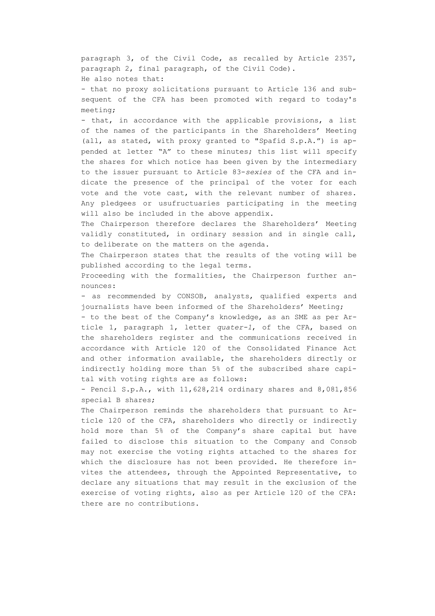paragraph 3, of the Civil Code, as recalled by Article 2357, paragraph 2, final paragraph, of the Civil Code). He also notes that:

- that no proxy solicitations pursuant to Article 136 and subsequent of the CFA has been promoted with regard to today's meeting;

- that, in accordance with the applicable provisions, a list of the names of the participants in the Shareholders' Meeting (all, as stated, with proxy granted to "Spafid S.p.A.") is appended at letter "A" to these minutes; this list will specify the shares for which notice has been given by the intermediary to the issuer pursuant to Article 83-*sexies* of the CFA and indicate the presence of the principal of the voter for each vote and the vote cast, with the relevant number of shares. Any pledgees or usufructuaries participating in the meeting will also be included in the above appendix.

The Chairperson therefore declares the Shareholders' Meeting validly constituted, in ordinary session and in single call, to deliberate on the matters on the agenda.

The Chairperson states that the results of the voting will be published according to the legal terms.

Proceeding with the formalities, the Chairperson further announces:

- as recommended by CONSOB, analysts, qualified experts and journalists have been informed of the Shareholders' Meeting;

- to the best of the Company's knowledge, as an SME as per Article 1, paragraph 1, letter *quater-1*, of the CFA, based on the shareholders register and the communications received in accordance with Article 120 of the Consolidated Finance Act and other information available, the shareholders directly or indirectly holding more than 5% of the subscribed share capital with voting rights are as follows:

- Pencil S.p.A., with 11,628,214 ordinary shares and 8,081,856 special B shares;

The Chairperson reminds the shareholders that pursuant to Article 120 of the CFA, shareholders who directly or indirectly hold more than 5% of the Company's share capital but have failed to disclose this situation to the Company and Consob may not exercise the voting rights attached to the shares for which the disclosure has not been provided. He therefore invites the attendees, through the Appointed Representative, to declare any situations that may result in the exclusion of the exercise of voting rights, also as per Article 120 of the CFA: there are no contributions.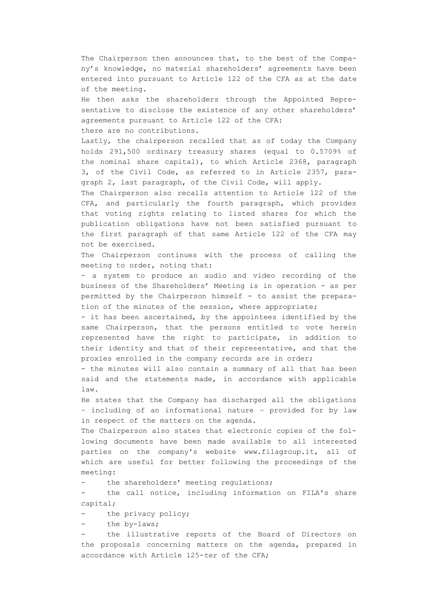The Chairperson then announces that, to the best of the Company's knowledge, no material shareholders' agreements have been entered into pursuant to Article 122 of the CFA as at the date of the meeting.

He then asks the shareholders through the Appointed Representative to disclose the existence of any other shareholders' agreements pursuant to Article 122 of the CFA: there are no contributions.

Lastly, the chairperson recalled that as of today the Company holds 291,500 ordinary treasury shares (equal to 0.5709% of the nominal share capital), to which Article 2368, paragraph 3, of the Civil Code, as referred to in Article 2357, paragraph 2, last paragraph, of the Civil Code, will apply.

The Chairperson also recalls attention to Article 122 of the CFA, and particularly the fourth paragraph, which provides that voting rights relating to listed shares for which the publication obligations have not been satisfied pursuant to the first paragraph of that same Article 122 of the CFA may not be exercised.

The Chairperson continues with the process of calling the meeting to order, noting that:

- a system to produce an audio and video recording of the business of the Shareholders' Meeting is in operation - as per permitted by the Chairperson himself - to assist the preparation of the minutes of the session, where appropriate;

- it has been ascertained, by the appointees identified by the same Chairperson, that the persons entitled to vote herein represented have the right to participate, in addition to their identity and that of their representative, and that the proxies enrolled in the company records are in order;

- the minutes will also contain a summary of all that has been said and the statements made, in accordance with applicable law.

He states that the Company has discharged all the obligations – including of an informational nature – provided for by law in respect of the matters on the agenda.

The Chairperson also states that electronic copies of the following documents have been made available to all interested parties on the company's website www.filagroup.it, all of which are useful for better following the proceedings of the meeting:

the shareholders' meeting regulations;

the call notice, including information on FILA's share capital;

the privacy policy;

the by-laws;

the illustrative reports of the Board of Directors on the proposals concerning matters on the agenda, prepared in accordance with Article 125-*ter* of the CFA;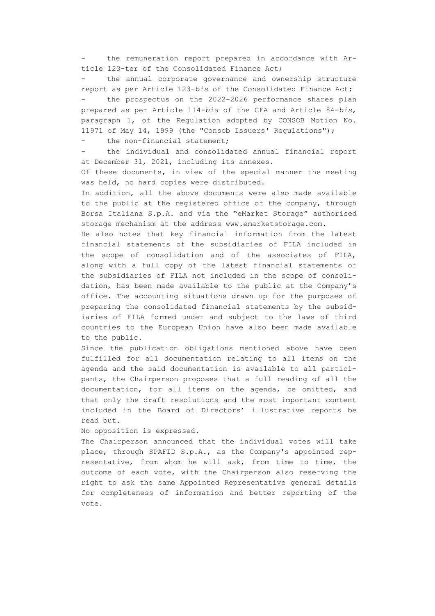the remuneration report prepared in accordance with Article 123-ter of the Consolidated Finance Act;

the annual corporate governance and ownership structure report as per Article 123-*bis* of the Consolidated Finance Act; the prospectus on the 2022-2026 performance shares plan prepared as per Article 114-*bis* of the CFA and Article 84-*bis*, paragraph 1, of the Regulation adopted by CONSOB Motion No. 11971 of May 14, 1999 (the "Consob Issuers' Regulations");

- the non-financial statement;

- the individual and consolidated annual financial report at December 31, 2021, including its annexes.

Of these documents, in view of the special manner the meeting was held, no hard copies were distributed.

In addition, all the above documents were also made available to the public at the registered office of the company, through Borsa Italiana S.p.A. and via the "eMarket Storage" authorised storage mechanism at the address www.emarketstorage.com.

He also notes that key financial information from the latest financial statements of the subsidiaries of FILA included in the scope of consolidation and of the associates of FILA, along with a full copy of the latest financial statements of the subsidiaries of FILA not included in the scope of consolidation, has been made available to the public at the Company's office. The accounting situations drawn up for the purposes of preparing the consolidated financial statements by the subsidiaries of FILA formed under and subject to the laws of third countries to the European Union have also been made available to the public.

Since the publication obligations mentioned above have been fulfilled for all documentation relating to all items on the agenda and the said documentation is available to all participants, the Chairperson proposes that a full reading of all the documentation, for all items on the agenda, be omitted, and that only the draft resolutions and the most important content included in the Board of Directors' illustrative reports be read out.

No opposition is expressed.

The Chairperson announced that the individual votes will take place, through SPAFID S.p.A., as the Company's appointed representative, from whom he will ask, from time to time, the outcome of each vote, with the Chairperson also reserving the right to ask the same Appointed Representative general details for completeness of information and better reporting of the vote.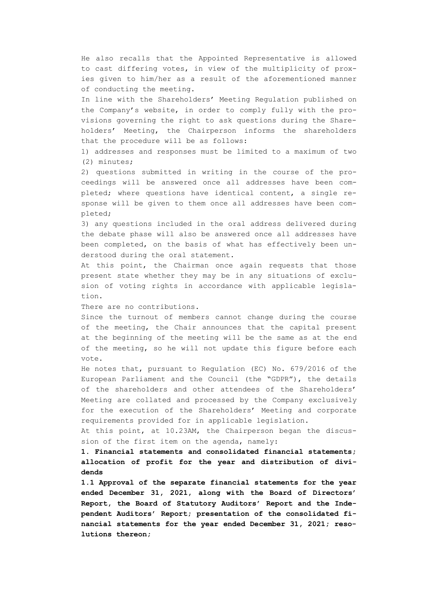He also recalls that the Appointed Representative is allowed to cast differing votes, in view of the multiplicity of proxies given to him/her as a result of the aforementioned manner of conducting the meeting.

In line with the Shareholders' Meeting Regulation published on the Company's website, in order to comply fully with the provisions governing the right to ask questions during the Shareholders' Meeting, the Chairperson informs the shareholders that the procedure will be as follows:

1) addresses and responses must be limited to a maximum of two (2) minutes;

2) questions submitted in writing in the course of the proceedings will be answered once all addresses have been completed; where questions have identical content, a single response will be given to them once all addresses have been completed;

3) any questions included in the oral address delivered during the debate phase will also be answered once all addresses have been completed, on the basis of what has effectively been understood during the oral statement.

At this point, the Chairman once again requests that those present state whether they may be in any situations of exclusion of voting rights in accordance with applicable legislation.

There are no contributions.

Since the turnout of members cannot change during the course of the meeting, the Chair announces that the capital present at the beginning of the meeting will be the same as at the end of the meeting, so he will not update this figure before each vote.

He notes that, pursuant to Regulation (EC) No. 679/2016 of the European Parliament and the Council (the "GDPR"), the details of the shareholders and other attendees of the Shareholders' Meeting are collated and processed by the Company exclusively for the execution of the Shareholders' Meeting and corporate requirements provided for in applicable legislation.

At this point, at 10.23AM, the Chairperson began the discussion of the first item on the agenda, namely:

**1. Financial statements and consolidated financial statements; allocation of profit for the year and distribution of dividends**

**1.1 Approval of the separate financial statements for the year ended December 31, 2021, along with the Board of Directors' Report, the Board of Statutory Auditors' Report and the Independent Auditors' Report; presentation of the consolidated financial statements for the year ended December 31, 2021; resolutions thereon;**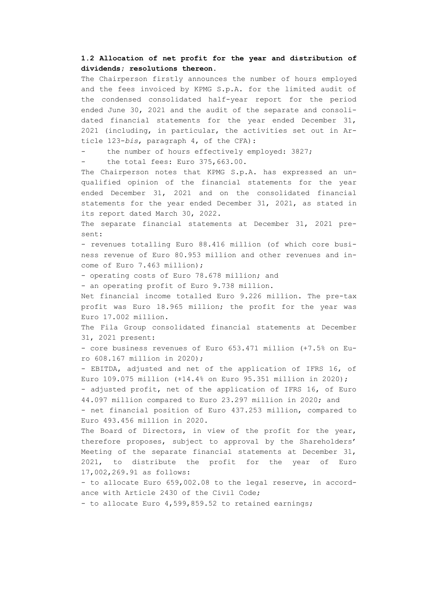## **1.2 Allocation of net profit for the year and distribution of dividends; resolutions thereon.**

The Chairperson firstly announces the number of hours employed and the fees invoiced by KPMG S.p.A. for the limited audit of the condensed consolidated half-year report for the period ended June 30, 2021 and the audit of the separate and consolidated financial statements for the year ended December 31, 2021 (including, in particular, the activities set out in Article 123-*bis*, paragraph 4, of the CFA):

the number of hours effectively employed: 3827;

the total fees: Euro 375,663.00.

The Chairperson notes that KPMG S.p.A. has expressed an unqualified opinion of the financial statements for the year ended December 31, 2021 and on the consolidated financial statements for the year ended December 31, 2021, as stated in its report dated March 30, 2022.

The separate financial statements at December 31, 2021 present:

- revenues totalling Euro 88.416 million (of which core business revenue of Euro 80.953 million and other revenues and income of Euro 7.463 million);

- operating costs of Euro 78.678 million; and

- an operating profit of Euro 9.738 million.

Net financial income totalled Euro 9.226 million. The pre-tax profit was Euro 18.965 million; the profit for the year was Euro 17.002 million.

The Fila Group consolidated financial statements at December 31, 2021 present:

- core business revenues of Euro 653.471 million (+7.5% on Euro 608.167 million in 2020);

- EBITDA, adjusted and net of the application of IFRS 16, of Euro 109.075 million (+14.4% on Euro 95.351 million in 2020);

- adjusted profit, net of the application of IFRS 16, of Euro 44.097 million compared to Euro 23.297 million in 2020; and

- net financial position of Euro 437.253 million, compared to Euro 493.456 million in 2020.

The Board of Directors, in view of the profit for the year, therefore proposes, subject to approval by the Shareholders' Meeting of the separate financial statements at December 31, 2021, to distribute the profit for the year of Euro 17,002,269.91 as follows:

- to allocate Euro 659,002.08 to the legal reserve, in accordance with Article 2430 of the Civil Code;

- to allocate Euro 4,599,859.52 to retained earnings;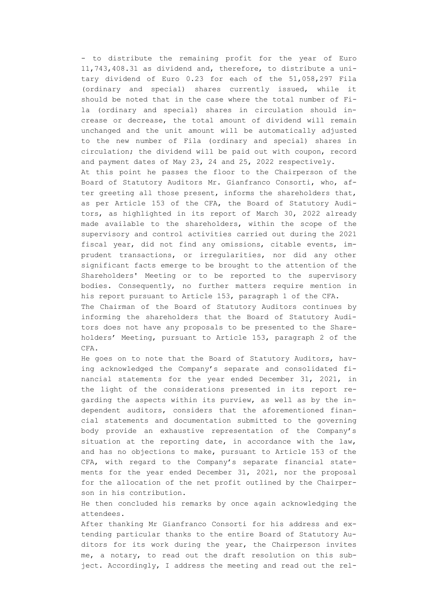- to distribute the remaining profit for the year of Euro 11,743,408.31 as dividend and, therefore, to distribute a unitary dividend of Euro 0.23 for each of the 51,058,297 Fila (ordinary and special) shares currently issued, while it should be noted that in the case where the total number of Fila (ordinary and special) shares in circulation should increase or decrease, the total amount of dividend will remain unchanged and the unit amount will be automatically adjusted to the new number of Fila (ordinary and special) shares in circulation; the dividend will be paid out with coupon, record and payment dates of May 23, 24 and 25, 2022 respectively. At this point he passes the floor to the Chairperson of the Board of Statutory Auditors Mr. Gianfranco Consorti, who, after greeting all those present, informs the shareholders that, as per Article 153 of the CFA, the Board of Statutory Auditors, as highlighted in its report of March 30, 2022 already made available to the shareholders, within the scope of the supervisory and control activities carried out during the 2021 fiscal year, did not find any omissions, citable events, imprudent transactions, or irregularities, nor did any other significant facts emerge to be brought to the attention of the Shareholders' Meeting or to be reported to the supervisory bodies. Consequently, no further matters require mention in his report pursuant to Article 153, paragraph 1 of the CFA. The Chairman of the Board of Statutory Auditors continues by informing the shareholders that the Board of Statutory Auditors does not have any proposals to be presented to the Share-

holders' Meeting, pursuant to Article 153, paragraph 2 of the CFA. He goes on to note that the Board of Statutory Auditors, hav-

ing acknowledged the Company's separate and consolidated financial statements for the year ended December 31, 2021, in the light of the considerations presented in its report regarding the aspects within its purview, as well as by the independent auditors, considers that the aforementioned financial statements and documentation submitted to the governing body provide an exhaustive representation of the Company's situation at the reporting date, in accordance with the law, and has no objections to make, pursuant to Article 153 of the CFA, with regard to the Company's separate financial statements for the year ended December 31, 2021, nor the proposal for the allocation of the net profit outlined by the Chairperson in his contribution.

He then concluded his remarks by once again acknowledging the attendees.

After thanking Mr Gianfranco Consorti for his address and extending particular thanks to the entire Board of Statutory Auditors for its work during the year, the Chairperson invites me, a notary, to read out the draft resolution on this subject. Accordingly, I address the meeting and read out the rel-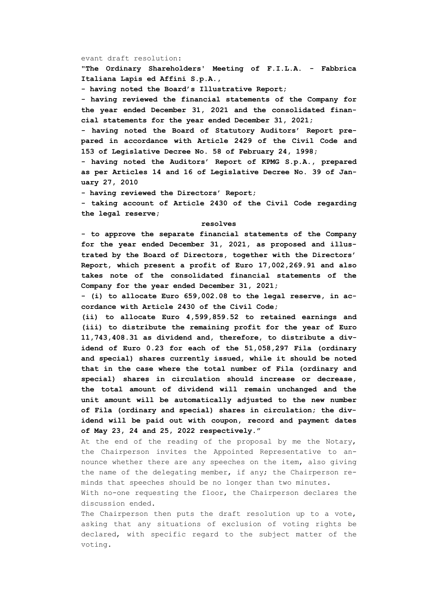### evant draft resolution:

**"The Ordinary Shareholders' Meeting of F.I.L.A. - Fabbrica Italiana Lapis ed Affini S.p.A.,**

**- having noted the Board's Illustrative Report;**

**- having reviewed the financial statements of the Company for the year ended December 31, 2021 and the consolidated financial statements for the year ended December 31, 2021;**

**- having noted the Board of Statutory Auditors' Report prepared in accordance with Article 2429 of the Civil Code and 153 of Legislative Decree No. 58 of February 24, 1998;**

**- having noted the Auditors' Report of KPMG S.p.A., prepared as per Articles 14 and 16 of Legislative Decree No. 39 of January 27, 2010**

**- having reviewed the Directors' Report;**

**- taking account of Article 2430 of the Civil Code regarding the legal reserve;**

### **resolves**

**- to approve the separate financial statements of the Company for the year ended December 31, 2021, as proposed and illustrated by the Board of Directors, together with the Directors' Report, which present a profit of Euro 17,002,269.91 and also takes note of the consolidated financial statements of the Company for the year ended December 31, 2021;**

**- (i) to allocate Euro 659,002.08 to the legal reserve, in accordance with Article 2430 of the Civil Code;**

**(ii) to allocate Euro 4,599,859.52 to retained earnings and (iii) to distribute the remaining profit for the year of Euro 11,743,408.31 as dividend and, therefore, to distribute a dividend of Euro 0.23 for each of the 51,058,297 Fila (ordinary and special) shares currently issued, while it should be noted that in the case where the total number of Fila (ordinary and special) shares in circulation should increase or decrease, the total amount of dividend will remain unchanged and the unit amount will be automatically adjusted to the new number of Fila (ordinary and special) shares in circulation; the dividend will be paid out with coupon, record and payment dates of May 23, 24 and 25, 2022 respectively."**

At the end of the reading of the proposal by me the Notary, the Chairperson invites the Appointed Representative to announce whether there are any speeches on the item, also giving the name of the delegating member, if any; the Chairperson reminds that speeches should be no longer than two minutes.

With no-one requesting the floor, the Chairperson declares the discussion ended.

The Chairperson then puts the draft resolution up to a vote, asking that any situations of exclusion of voting rights be declared, with specific regard to the subject matter of the voting.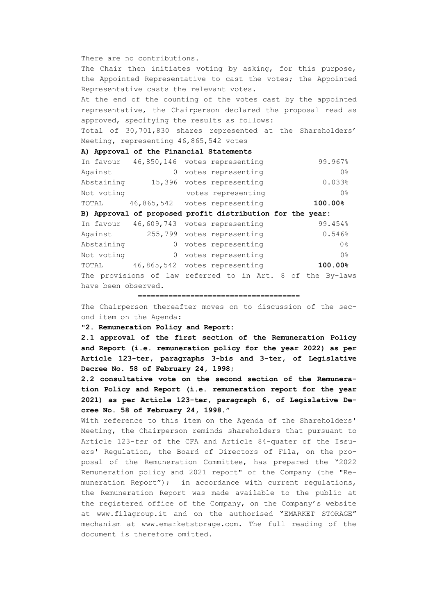### There are no contributions.

The Chair then initiates voting by asking, for this purpose, the Appointed Representative to cast the votes; the Appointed Representative casts the relevant votes.

At the end of the counting of the votes cast by the appointed representative, the Chairperson declared the proposal read as approved, specifying the results as follows:

Total of 30,701,830 shares represented at the Shareholders' Meeting, representing 46,865,542 votes

### **A) Approval of the Financial Statements**

| In favour           |          |  | 46,850,146 votes representing                              |  |  | 99.967%        |
|---------------------|----------|--|------------------------------------------------------------|--|--|----------------|
| Against             | $\Omega$ |  | votes representing                                         |  |  | 0 <sup>°</sup> |
| Abstaining          | 15,396   |  | votes representing                                         |  |  | 0.033%         |
| Not voting          |          |  | votes representing                                         |  |  | 0%             |
| TOTAL               |          |  | 46,865,542 votes representing                              |  |  | 100.00%        |
|                     |          |  | B) Approval of proposed profit distribution for the year:  |  |  |                |
|                     |          |  | In favour 46,609,743 votes representing                    |  |  | 99.454%        |
| Aqainst             |          |  | 255,799 votes representing                                 |  |  | 0.546%         |
| Abstaining          | $\Omega$ |  | votes representing                                         |  |  | 0 <sup>°</sup> |
| Not voting          | 0        |  | votes representing                                         |  |  | 0%             |
| TOTAL               |          |  | 46,865,542 votes representing                              |  |  | 100.00%        |
|                     |          |  | The provisions of law referred to in Art. 8 of the By-laws |  |  |                |
| have been observed. |          |  |                                                            |  |  |                |

=====================================

The Chairperson thereafter moves on to discussion of the second item on the Agenda:

### **"2. Remuneration Policy and Report:**

**2.1 approval of the first section of the Remuneration Policy and Report (i.e. remuneration policy for the year 2022) as per Article 123-ter, paragraphs 3-bis and 3-ter, of Legislative Decree No. 58 of February 24, 1998;**

**2.2 consultative vote on the second section of the Remuneration Policy and Report (i.e. remuneration report for the year 2021) as per Article 123-ter, paragraph 6, of Legislative Decree No. 58 of February 24, 1998."**

With reference to this item on the Agenda of the Shareholders' Meeting, the Chairperson reminds shareholders that pursuant to Article 123-*ter* of the CFA and Article 84-quater of the Issuers' Regulation, the Board of Directors of Fila, on the proposal of the Remuneration Committee, has prepared the "2022 Remuneration policy and 2021 report" of the Company (the "Remuneration Report"); in accordance with current regulations, the Remuneration Report was made available to the public at the registered office of the Company, on the Company's website at www.filagroup.it and on the authorised "EMARKET STORAGE" mechanism at www.emarketstorage.com. The full reading of the document is therefore omitted.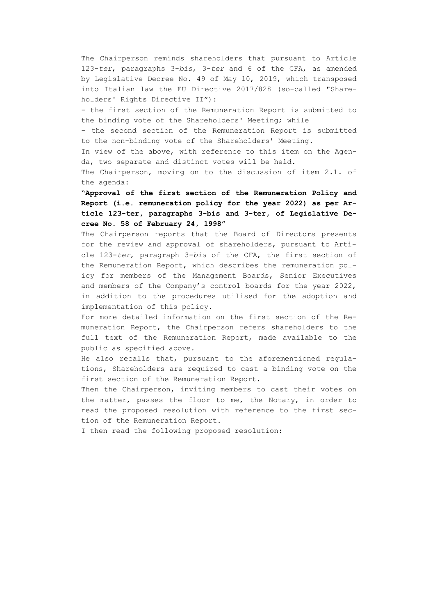The Chairperson reminds shareholders that pursuant to Article 123-*ter*, paragraphs 3-*bis*, 3-*ter* and 6 of the CFA, as amended by Legislative Decree No. 49 of May 10, 2019, which transposed into Italian law the EU Directive 2017/828 (so-called "Shareholders' Rights Directive II"):

- the first section of the Remuneration Report is submitted to the binding vote of the Shareholders' Meeting; while

- the second section of the Remuneration Report is submitted to the non-binding vote of the Shareholders' Meeting.

In view of the above, with reference to this item on the Agenda, two separate and distinct votes will be held.

The Chairperson, moving on to the discussion of item 2.1. of the agenda:

**"Approval of the first section of the Remuneration Policy and Report (i.e. remuneration policy for the year 2022) as per Article 123-ter, paragraphs 3-bis and 3-ter, of Legislative Decree No. 58 of February 24, 1998"**

The Chairperson reports that the Board of Directors presents for the review and approval of shareholders, pursuant to Article 123-*ter*, paragraph 3-*bis* of the CFA, the first section of the Remuneration Report, which describes the remuneration policy for members of the Management Boards, Senior Executives and members of the Company's control boards for the year 2022, in addition to the procedures utilised for the adoption and implementation of this policy.

For more detailed information on the first section of the Remuneration Report, the Chairperson refers shareholders to the full text of the Remuneration Report, made available to the public as specified above.

He also recalls that, pursuant to the aforementioned regulations, Shareholders are required to cast a binding vote on the first section of the Remuneration Report.

Then the Chairperson, inviting members to cast their votes on the matter, passes the floor to me, the Notary, in order to read the proposed resolution with reference to the first section of the Remuneration Report.

I then read the following proposed resolution: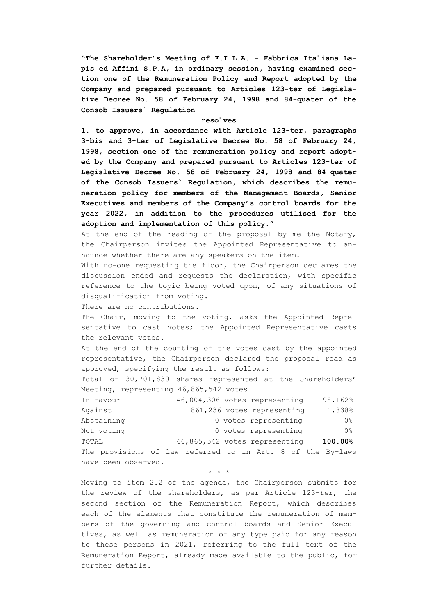**"The Shareholder's Meeting of F.I.L.A. - Fabbrica Italiana Lapis ed Affini S.P.A, in ordinary session, having examined section one of the Remuneration Policy and Report adopted by the Company and prepared pursuant to Articles 123-ter of Legislative Decree No. 58 of February 24, 1998 and 84-quater of the Consob Issuers` Regulation**

#### **resolves**

**1. to approve, in accordance with Article 123-ter, paragraphs 3-bis and 3-ter of Legislative Decree No. 58 of February 24, 1998, section one of the remuneration policy and report adopted by the Company and prepared pursuant to Articles 123-ter of Legislative Decree No. 58 of February 24, 1998 and 84-quater of the Consob Issuers` Regulation, which describes the remuneration policy for members of the Management Boards, Senior Executives and members of the Company's control boards for the year 2022, in addition to the procedures utilised for the adoption and implementation of this policy."**

At the end of the reading of the proposal by me the Notary, the Chairperson invites the Appointed Representative to announce whether there are any speakers on the item.

With no-one requesting the floor, the Chairperson declares the discussion ended and requests the declaration, with specific reference to the topic being voted upon, of any situations of disqualification from voting.

There are no contributions.

The Chair, moving to the voting, asks the Appointed Representative to cast votes; the Appointed Representative casts the relevant votes.

At the end of the counting of the votes cast by the appointed representative, the Chairperson declared the proposal read as approved, specifying the result as follows:

Total of 30,701,830 shares represented at the Shareholders' Meeting, representing 46,865,542 votes

| TOTAL      | 46,865,542 votes representing | 100.00% |
|------------|-------------------------------|---------|
| Not voting | 0 votes representing          | 0응      |
| Abstaining | 0 votes representing          | 0응      |
| Against    | 861,236 votes representing    | 1.838%  |
| In favour  | 46,004,306 votes representing | 98.162% |

The provisions of law referred to in Art. 8 of the By-laws have been observed.

\* \* \*

Moving to item 2.2 of the agenda, the Chairperson submits for the review of the shareholders, as per Article 123-*ter*, the second section of the Remuneration Report, which describes each of the elements that constitute the remuneration of members of the governing and control boards and Senior Executives, as well as remuneration of any type paid for any reason to these persons in 2021, referring to the full text of the Remuneration Report, already made available to the public, for further details.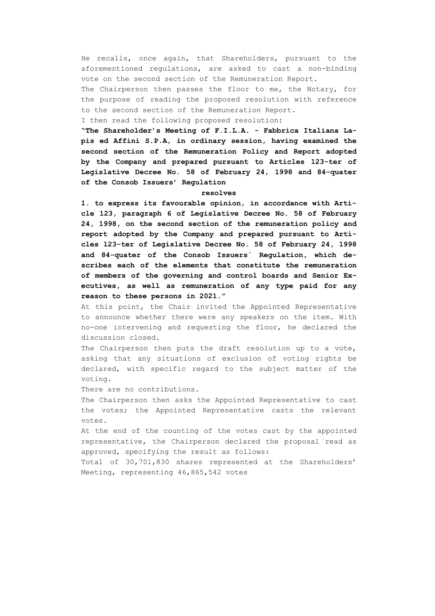He recalls, once again, that Shareholders, pursuant to the aforementioned regulations, are asked to cast a non-binding vote on the second section of the Remuneration Report.

The Chairperson then passes the floor to me, the Notary, for the purpose of reading the proposed resolution with reference to the second section of the Remuneration Report.

I then read the following proposed resolution:

**"The Shareholder's Meeting of F.I.L.A. - Fabbrica Italiana Lapis ed Affini S.P.A, in ordinary session, having examined the second section of the Remuneration Policy and Report adopted by the Company and prepared pursuant to Articles 123-ter of Legislative Decree No. 58 of February 24, 1998 and 84-quater of the Consob Issuers' Regulation**

### **resolves**

**1. to express its favourable opinion, in accordance with Article 123, paragraph 6 of Legislative Decree No. 58 of February 24, 1998, on the second section of the remuneration policy and report adopted by the Company and prepared pursuant to Articles 123-ter of Legislative Decree No. 58 of February 24, 1998 and 84-quater of the Consob Issuers` Regulation, which describes each of the elements that constitute the remuneration of members of the governing and control boards and Senior Executives, as well as remuneration of any type paid for any reason to these persons in 2021."**

At this point, the Chair invited the Appointed Representative to announce whether there were any speakers on the item. With no-one intervening and requesting the floor, he declared the discussion closed.

The Chairperson then puts the draft resolution up to a vote, asking that any situations of exclusion of voting rights be declared, with specific regard to the subject matter of the voting.

There are no contributions.

The Chairperson then asks the Appointed Representative to cast the votes; the Appointed Representative casts the relevant votes.

At the end of the counting of the votes cast by the appointed representative, the Chairperson declared the proposal read as approved, specifying the result as follows:

Total of 30,701,830 shares represented at the Shareholders' Meeting, representing 46,865,542 votes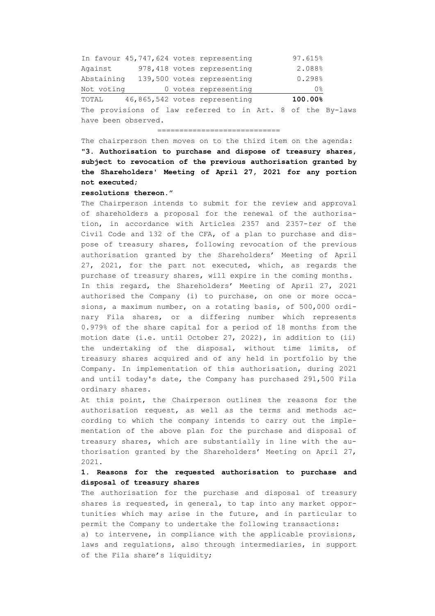| TOTAL      |  | 46,865,542 votes representing           | 100.00% |
|------------|--|-----------------------------------------|---------|
| Not voting |  | 0 votes representing                    | 0응      |
| Abstaining |  | 139,500 votes representing              | 0.298%  |
| Against    |  | 978,418 votes representing              | 2.088%  |
|            |  | In favour 45,747,624 votes representing | 97.615% |

The provisions of law referred to in Art. 8 of the By-laws have been observed.

============================

The chairperson then moves on to the third item on the agenda: **"3. Authorisation to purchase and dispose of treasury shares, subject to revocation of the previous authorisation granted by the Shareholders' Meeting of April 27, 2021 for any portion** 

### **not executed;**

### **resolutions thereon."**

The Chairperson intends to submit for the review and approval of shareholders a proposal for the renewal of the authorisation, in accordance with Articles 2357 and 2357-*ter* of the Civil Code and 132 of the CFA, of a plan to purchase and dispose of treasury shares, following revocation of the previous authorisation granted by the Shareholders' Meeting of April 27, 2021, for the part not executed, which, as regards the purchase of treasury shares, will expire in the coming months. In this regard, the Shareholders' Meeting of April 27, 2021 authorised the Company (i) to purchase, on one or more occasions, a maximum number, on a rotating basis, of 500,000 ordinary Fila shares, or a differing number which represents 0.979% of the share capital for a period of 18 months from the motion date (i.e. until October 27, 2022), in addition to (ii) the undertaking of the disposal, without time limits, of treasury shares acquired and of any held in portfolio by the Company. In implementation of this authorisation, during 2021 and until today's date, the Company has purchased 291,500 Fila ordinary shares.

At this point, the Chairperson outlines the reasons for the authorisation request, as well as the terms and methods according to which the company intends to carry out the implementation of the above plan for the purchase and disposal of treasury shares, which are substantially in line with the authorisation granted by the Shareholders' Meeting on April 27, 2021.

## **1. Reasons for the requested authorisation to purchase and disposal of treasury shares**

The authorisation for the purchase and disposal of treasury shares is requested, in general, to tap into any market opportunities which may arise in the future, and in particular to permit the Company to undertake the following transactions:

a) to intervene, in compliance with the applicable provisions, laws and regulations, also through intermediaries, in support of the Fila share's liquidity;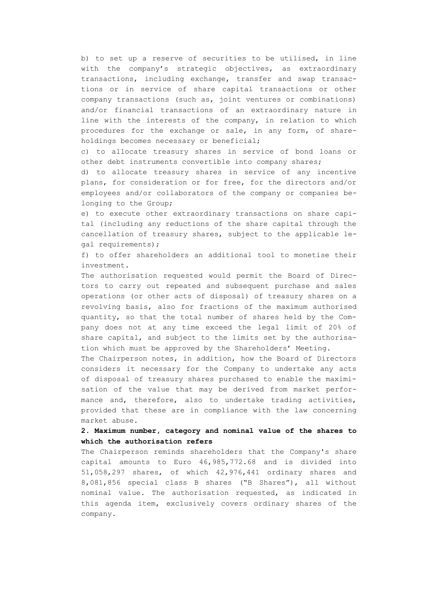b) to set up a reserve of securities to be utilised, in line with the company's strategic objectives, as extraordinary transactions, including exchange, transfer and swap transactions or in service of share capital transactions or other company transactions (such as, joint ventures or combinations) and/or financial transactions of an extraordinary nature in line with the interests of the company, in relation to which procedures for the exchange or sale, in any form, of shareholdings becomes necessary or beneficial;

c) to allocate treasury shares in service of bond loans or other debt instruments convertible into company shares;

d) to allocate treasury shares in service of any incentive plans, for consideration or for free, for the directors and/or employees and/or collaborators of the company or companies belonging to the Group;

e) to execute other extraordinary transactions on share capital (including any reductions of the share capital through the cancellation of treasury shares, subject to the applicable legal requirements);

f) to offer shareholders an additional tool to monetise their investment.

The authorisation requested would permit the Board of Directors to carry out repeated and subsequent purchase and sales operations (or other acts of disposal) of treasury shares on a revolving basis, also for fractions of the maximum authorised quantity, so that the total number of shares held by the Company does not at any time exceed the legal limit of 20% of share capital, and subject to the limits set by the authorisation which must be approved by the Shareholders' Meeting.

The Chairperson notes, in addition, how the Board of Directors considers it necessary for the Company to undertake any acts of disposal of treasury shares purchased to enable the maximisation of the value that may be derived from market performance and, therefore, also to undertake trading activities, provided that these are in compliance with the law concerning market abuse.

## **2. Maximum number, category and nominal value of the shares to which the authorisation refers**

The Chairperson reminds shareholders that the Company's share capital amounts to Euro 46,985,772.68 and is divided into 51,058,297 shares, of which 42,976,441 ordinary shares and 8,081,856 special class B shares ("B Shares"), all without nominal value. The authorisation requested, as indicated in this agenda item, exclusively covers ordinary shares of the company.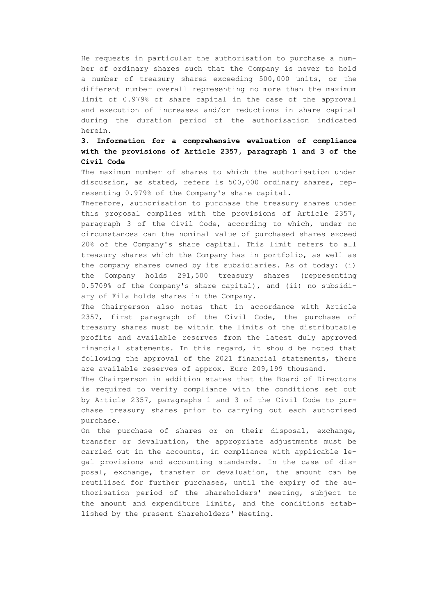He requests in particular the authorisation to purchase a number of ordinary shares such that the Company is never to hold a number of treasury shares exceeding 500,000 units, or the different number overall representing no more than the maximum limit of 0.979% of share capital in the case of the approval and execution of increases and/or reductions in share capital during the duration period of the authorisation indicated herein.

# **3. Information for a comprehensive evaluation of compliance with the provisions of Article 2357, paragraph 1 and 3 of the Civil Code**

The maximum number of shares to which the authorisation under discussion, as stated, refers is 500,000 ordinary shares, representing 0.979% of the Company's share capital.

Therefore, authorisation to purchase the treasury shares under this proposal complies with the provisions of Article 2357, paragraph 3 of the Civil Code, according to which, under no circumstances can the nominal value of purchased shares exceed 20% of the Company's share capital. This limit refers to all treasury shares which the Company has in portfolio, as well as the company shares owned by its subsidiaries. As of today: (i) the Company holds 291,500 treasury shares (representing 0.5709% of the Company's share capital), and (ii) no subsidiary of Fila holds shares in the Company.

The Chairperson also notes that in accordance with Article 2357, first paragraph of the Civil Code, the purchase of treasury shares must be within the limits of the distributable profits and available reserves from the latest duly approved financial statements. In this regard, it should be noted that following the approval of the 2021 financial statements, there are available reserves of approx. Euro 209,199 thousand.

The Chairperson in addition states that the Board of Directors is required to verify compliance with the conditions set out by Article 2357, paragraphs 1 and 3 of the Civil Code to purchase treasury shares prior to carrying out each authorised purchase.

On the purchase of shares or on their disposal, exchange, transfer or devaluation, the appropriate adjustments must be carried out in the accounts, in compliance with applicable legal provisions and accounting standards. In the case of disposal, exchange, transfer or devaluation, the amount can be reutilised for further purchases, until the expiry of the authorisation period of the shareholders' meeting, subject to the amount and expenditure limits, and the conditions established by the present Shareholders' Meeting.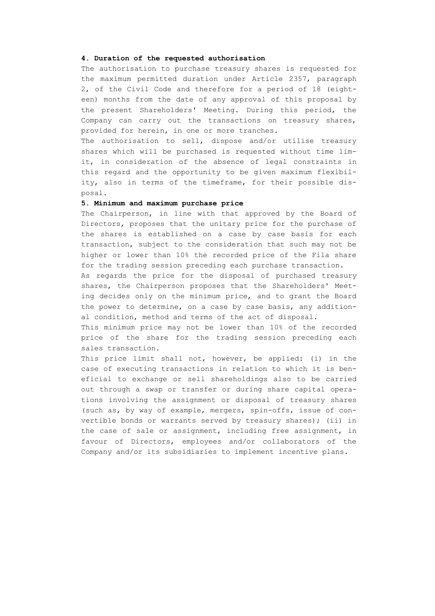### **4. Duration of the requested authorisation**

The authorisation to purchase treasury shares is requested for the maximum permitted duration under Article 2357, paragraph 2, of the Civil Code and therefore for a period of 18 (eighteen) months from the date of any approval of this proposal by the present Shareholders' Meeting. During this period, the Company can carry out the transactions on treasury shares, provided for herein, in one or more tranches.

The authorisation to sell, dispose and/or utilise treasury shares which will be purchased is requested without time limit, in consideration of the absence of legal constraints in this regard and the opportunity to be given maximum flexibility, also in terms of the timeframe, for their possible disposal.

## **5. Minimum and maximum purchase price**

The Chairperson, in line with that approved by the Board of Directors, proposes that the unitary price for the purchase of the shares is established on a case by case basis for each transaction, subject to the consideration that such may not be higher or lower than 10% the recorded price of the Fila share for the trading session preceding each purchase transaction.

As regards the price for the disposal of purchased treasury shares, the Chairperson proposes that the Shareholders' Meeting decides only on the minimum price, and to grant the Board the power to determine, on a case by case basis, any additional condition, method and terms of the act of disposal.

This minimum price may not be lower than 10% of the recorded price of the share for the trading session preceding each sales transaction.

This price limit shall not, however, be applied: (i) in the case of executing transactions in relation to which it is beneficial to exchange or sell shareholdings also to be carried out through a swap or transfer or during share capital operations involving the assignment or disposal of treasury shares (such as, by way of example, mergers, spin-offs, issue of convertible bonds or warrants served by treasury shares); (ii) in the case of sale or assignment, including free assignment, in favour of Directors, employees and/or collaborators of the Company and/or its subsidiaries to implement incentive plans.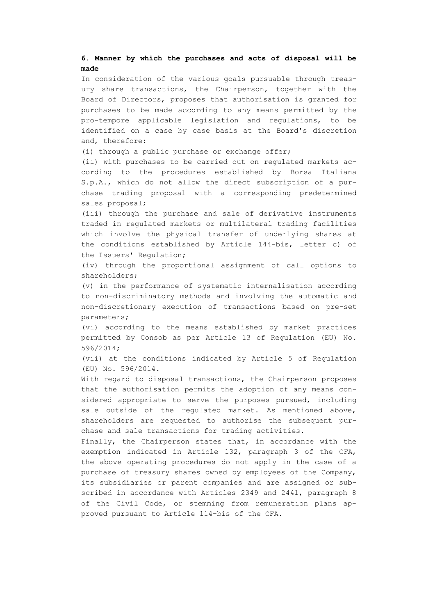## **6. Manner by which the purchases and acts of disposal will be made**

In consideration of the various goals pursuable through treasury share transactions, the Chairperson, together with the Board of Directors, proposes that authorisation is granted for purchases to be made according to any means permitted by the pro-tempore applicable legislation and regulations, to be identified on a case by case basis at the Board's discretion and, therefore:

(i) through a public purchase or exchange offer;

(ii) with purchases to be carried out on regulated markets according to the procedures established by Borsa Italiana S.p.A., which do not allow the direct subscription of a purchase trading proposal with a corresponding predetermined sales proposal;

(iii) through the purchase and sale of derivative instruments traded in regulated markets or multilateral trading facilities which involve the physical transfer of underlying shares at the conditions established by Article 144-bis, letter c) of the Issuers' Regulation;

(iv) through the proportional assignment of call options to shareholders;

(v) in the performance of systematic internalisation according to non-discriminatory methods and involving the automatic and non-discretionary execution of transactions based on pre-set parameters;

(vi) according to the means established by market practices permitted by Consob as per Article 13 of Regulation (EU) No. 596/2014;

(vii) at the conditions indicated by Article 5 of Regulation (EU) No. 596/2014.

With regard to disposal transactions, the Chairperson proposes that the authorisation permits the adoption of any means considered appropriate to serve the purposes pursued, including sale outside of the regulated market. As mentioned above, shareholders are requested to authorise the subsequent purchase and sale transactions for trading activities.

Finally, the Chairperson states that, in accordance with the exemption indicated in Article 132, paragraph 3 of the CFA, the above operating procedures do not apply in the case of a purchase of treasury shares owned by employees of the Company, its subsidiaries or parent companies and are assigned or subscribed in accordance with Articles 2349 and 2441, paragraph 8 of the Civil Code, or stemming from remuneration plans approved pursuant to Article 114-bis of the CFA.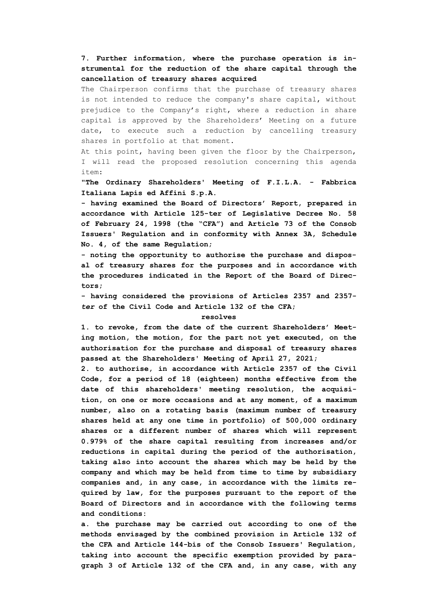**7. Further information, where the purchase operation is instrumental for the reduction of the share capital through the cancellation of treasury shares acquired**

The Chairperson confirms that the purchase of treasury shares is not intended to reduce the company's share capital, without prejudice to the Company's right, where a reduction in share capital is approved by the Shareholders' Meeting on a future date, to execute such a reduction by cancelling treasury shares in portfolio at that moment.

At this point, having been given the floor by the Chairperson, I will read the proposed resolution concerning this agenda item:

**"The Ordinary Shareholders' Meeting of F.I.L.A. - Fabbrica Italiana Lapis ed Affini S.p.A.**

**- having examined the Board of Directors' Report, prepared in accordance with Article 125-ter of Legislative Decree No. 58 of February 24, 1998 (the "CFA") and Article 73 of the Consob Issuers' Regulation and in conformity with Annex 3A, Schedule No. 4, of the same Regulation;**

**- noting the opportunity to authorise the purchase and disposal of treasury shares for the purposes and in accordance with the procedures indicated in the Report of the Board of Directors;**

**- having considered the provisions of Articles 2357 and 2357** *ter* **of the Civil Code and Article 132 of the CFA;**

### **resolves**

**1. to revoke, from the date of the current Shareholders' Meeting motion, the motion, for the part not yet executed, on the authorisation for the purchase and disposal of treasury shares passed at the Shareholders' Meeting of April 27, 2021;**

**2. to authorise, in accordance with Article 2357 of the Civil Code, for a period of 18 (eighteen) months effective from the date of this shareholders' meeting resolution, the acquisition, on one or more occasions and at any moment, of a maximum number, also on a rotating basis (maximum number of treasury shares held at any one time in portfolio) of 500,000 ordinary shares or a different number of shares which will represent 0.979% of the share capital resulting from increases and/or reductions in capital during the period of the authorisation, taking also into account the shares which may be held by the company and which may be held from time to time by subsidiary companies and, in any case, in accordance with the limits required by law, for the purposes pursuant to the report of the Board of Directors and in accordance with the following terms and conditions:**

**a. the purchase may be carried out according to one of the methods envisaged by the combined provision in Article 132 of the CFA and Article 144-bis of the Consob Issuers' Regulation, taking into account the specific exemption provided by paragraph 3 of Article 132 of the CFA and, in any case, with any**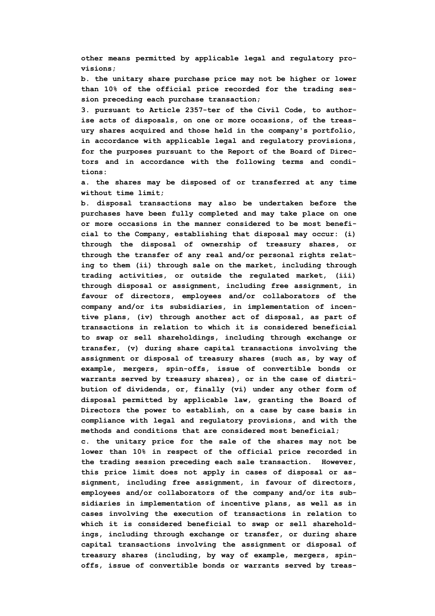**other means permitted by applicable legal and regulatory provisions;**

**b. the unitary share purchase price may not be higher or lower than 10% of the official price recorded for the trading session preceding each purchase transaction;**

**3. pursuant to Article 2357-ter of the Civil Code, to authorise acts of disposals, on one or more occasions, of the treasury shares acquired and those held in the company's portfolio, in accordance with applicable legal and regulatory provisions, for the purposes pursuant to the Report of the Board of Directors and in accordance with the following terms and conditions:**

**a. the shares may be disposed of or transferred at any time without time limit;**

**b. disposal transactions may also be undertaken before the purchases have been fully completed and may take place on one or more occasions in the manner considered to be most beneficial to the Company, establishing that disposal may occur: (i) through the disposal of ownership of treasury shares, or through the transfer of any real and/or personal rights relating to them (ii) through sale on the market, including through trading activities, or outside the regulated market, (iii) through disposal or assignment, including free assignment, in favour of directors, employees and/or collaborators of the company and/or its subsidiaries, in implementation of incentive plans, (iv) through another act of disposal, as part of transactions in relation to which it is considered beneficial to swap or sell shareholdings, including through exchange or transfer, (v) during share capital transactions involving the assignment or disposal of treasury shares (such as, by way of example, mergers, spin-offs, issue of convertible bonds or warrants served by treasury shares), or in the case of distribution of dividends, or, finally (vi) under any other form of disposal permitted by applicable law, granting the Board of Directors the power to establish, on a case by case basis in compliance with legal and regulatory provisions, and with the methods and conditions that are considered most beneficial;**

**c. the unitary price for the sale of the shares may not be lower than 10% in respect of the official price recorded in the trading session preceding each sale transaction. However, this price limit does not apply in cases of disposal or assignment, including free assignment, in favour of directors, employees and/or collaborators of the company and/or its subsidiaries in implementation of incentive plans, as well as in cases involving the execution of transactions in relation to which it is considered beneficial to swap or sell shareholdings, including through exchange or transfer, or during share capital transactions involving the assignment or disposal of treasury shares (including, by way of example, mergers, spinoffs, issue of convertible bonds or warrants served by treas-**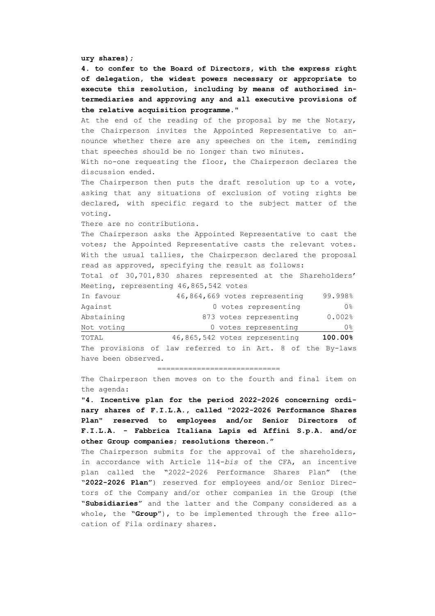**ury shares);**

**4. to confer to the Board of Directors, with the express right of delegation, the widest powers necessary or appropriate to execute this resolution, including by means of authorised intermediaries and approving any and all executive provisions of the relative acquisition programme."**

At the end of the reading of the proposal by me the Notary, the Chairperson invites the Appointed Representative to announce whether there are any speeches on the item, reminding that speeches should be no longer than two minutes.

With no-one requesting the floor, the Chairperson declares the discussion ended.

The Chairperson then puts the draft resolution up to a vote, asking that any situations of exclusion of voting rights be declared, with specific regard to the subject matter of the voting.

There are no contributions.

The Chairperson asks the Appointed Representative to cast the votes; the Appointed Representative casts the relevant votes. With the usual tallies, the Chairperson declared the proposal read as approved, specifying the result as follows:

Total of 30,701,830 shares represented at the Shareholders' Meeting, representing 46,865,542 votes

| In favour  | 46,864,669 votes representing | 99.998%   |
|------------|-------------------------------|-----------|
| Against    | 0 votes representing          | 0응        |
| Abstaining | 873 votes representing        | $0.002$ % |
| Not voting | 0 votes representing          | 0%        |
| TOTAL      | 46,865,542 votes representing | 100.00%   |

The provisions of law referred to in Art. 8 of the By-laws have been observed.

#### ============================

The Chairperson then moves on to the fourth and final item on the agenda:

**"4. Incentive plan for the period 2022-2026 concerning ordinary shares of F.I.L.A., called "2022-2026 Performance Shares Plan" reserved to employees and/or Senior Directors of F.I.L.A. - Fabbrica Italiana Lapis ed Affini S.p.A. and/or other Group companies; resolutions thereon."**

The Chairperson submits for the approval of the shareholders, in accordance with Article 114-*bis* of the CFA, an incentive plan called the "2022-2026 Performance Shares Plan" (the "**2022-2026 Plan**") reserved for employees and/or Senior Directors of the Company and/or other companies in the Group (the "**Subsidiaries**" and the latter and the Company considered as a whole, the "**Group**"), to be implemented through the free allocation of Fila ordinary shares.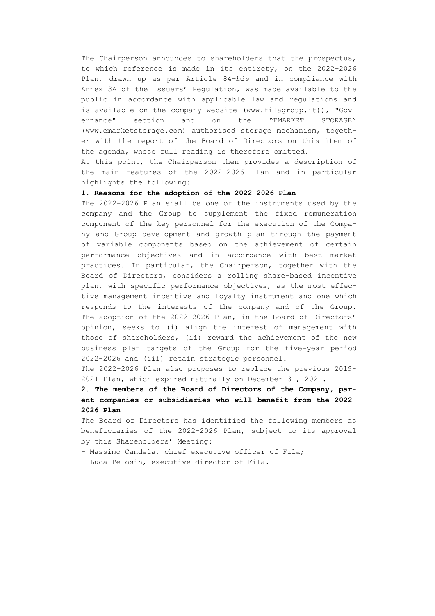The Chairperson announces to shareholders that the prospectus, to which reference is made in its entirety, on the 2022-2026 Plan, drawn up as per Article 84-*bis* and in compliance with Annex 3A of the Issuers' Regulation, was made available to the public in accordance with applicable law and regulations and is available on the company website (www.filagroup.it)), "Governance" section and on the "EMARKET STORAGE" (www.emarketstorage.com) authorised storage mechanism, together with the report of the Board of Directors on this item of the agenda, whose full reading is therefore omitted.

At this point, the Chairperson then provides a description of the main features of the 2022-2026 Plan and in particular highlights the following:

### **1. Reasons for the adoption of the 2022-2026 Plan**

The 2022-2026 Plan shall be one of the instruments used by the company and the Group to supplement the fixed remuneration component of the key personnel for the execution of the Company and Group development and growth plan through the payment of variable components based on the achievement of certain performance objectives and in accordance with best market practices. In particular, the Chairperson, together with the Board of Directors, considers a rolling share-based incentive plan, with specific performance objectives, as the most effective management incentive and loyalty instrument and one which responds to the interests of the company and of the Group. The adoption of the 2022-2026 Plan, in the Board of Directors' opinion, seeks to (i) align the interest of management with those of shareholders, (ii) reward the achievement of the new business plan targets of the Group for the five-year period 2022-2026 and (iii) retain strategic personnel.

The 2022-2026 Plan also proposes to replace the previous 2019- 2021 Plan, which expired naturally on December 31, 2021.

# **2. The members of the Board of Directors of the Company, parent companies or subsidiaries who will benefit from the 2022- 2026 Plan**

The Board of Directors has identified the following members as beneficiaries of the 2022-2026 Plan, subject to its approval by this Shareholders' Meeting:

- Massimo Candela, chief executive officer of Fila;

- Luca Pelosin, executive director of Fila.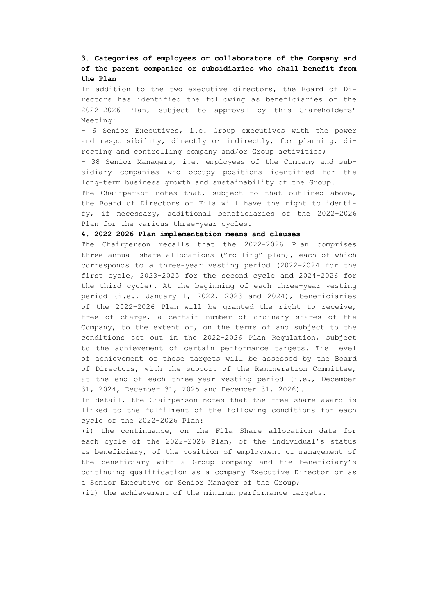## **3. Categories of employees or collaborators of the Company and of the parent companies or subsidiaries who shall benefit from the Plan**

In addition to the two executive directors, the Board of Directors has identified the following as beneficiaries of the 2022-2026 Plan, subject to approval by this Shareholders' Meeting:

- 6 Senior Executives, i.e. Group executives with the power and responsibility, directly or indirectly, for planning, directing and controlling company and/or Group activities;

- 38 Senior Managers, i.e. employees of the Company and subsidiary companies who occupy positions identified for the long-term business growth and sustainability of the Group.

The Chairperson notes that, subject to that outlined above, the Board of Directors of Fila will have the right to identify, if necessary, additional beneficiaries of the 2022-2026 Plan for the various three-year cycles.

### **4. 2022-2026 Plan implementation means and clauses**

The Chairperson recalls that the 2022-2026 Plan comprises three annual share allocations ("rolling" plan), each of which corresponds to a three-year vesting period (2022-2024 for the first cycle, 2023-2025 for the second cycle and 2024-2026 for the third cycle). At the beginning of each three-year vesting period (i.e., January 1, 2022, 2023 and 2024), beneficiaries of the 2022-2026 Plan will be granted the right to receive, free of charge, a certain number of ordinary shares of the Company, to the extent of, on the terms of and subject to the conditions set out in the 2022-2026 Plan Regulation, subject to the achievement of certain performance targets. The level of achievement of these targets will be assessed by the Board of Directors, with the support of the Remuneration Committee, at the end of each three-year vesting period (i.e., December 31, 2024, December 31, 2025 and December 31, 2026).

In detail, the Chairperson notes that the free share award is linked to the fulfilment of the following conditions for each cycle of the 2022-2026 Plan:

(i) the continuance, on the Fila Share allocation date for each cycle of the 2022-2026 Plan, of the individual's status as beneficiary, of the position of employment or management of the beneficiary with a Group company and the beneficiary's continuing qualification as a company Executive Director or as a Senior Executive or Senior Manager of the Group;

(ii) the achievement of the minimum performance targets.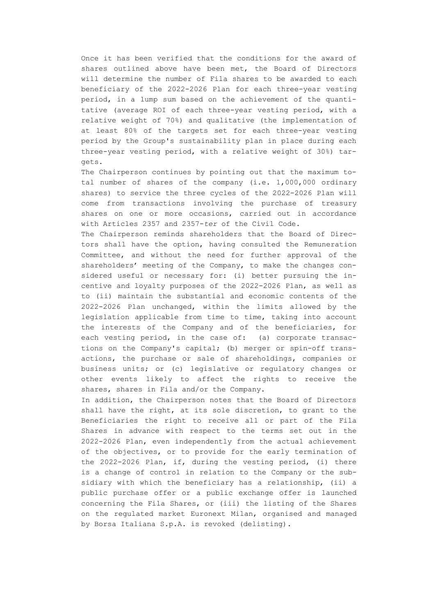Once it has been verified that the conditions for the award of shares outlined above have been met, the Board of Directors will determine the number of Fila shares to be awarded to each beneficiary of the 2022-2026 Plan for each three-year vesting period, in a lump sum based on the achievement of the quantitative (average ROI of each three-year vesting period, with a relative weight of 70%) and qualitative (the implementation of at least 80% of the targets set for each three-year vesting period by the Group's sustainability plan in place during each three-year vesting period, with a relative weight of 30%) targets.

The Chairperson continues by pointing out that the maximum total number of shares of the company (i.e. 1,000,000 ordinary shares) to service the three cycles of the 2022-2026 Plan will come from transactions involving the purchase of treasury shares on one or more occasions, carried out in accordance with Articles 2357 and 2357-*ter* of the Civil Code.

The Chairperson reminds shareholders that the Board of Directors shall have the option, having consulted the Remuneration Committee, and without the need for further approval of the shareholders' meeting of the Company, to make the changes considered useful or necessary for: (i) better pursuing the incentive and loyalty purposes of the 2022-2026 Plan, as well as to (ii) maintain the substantial and economic contents of the 2022-2026 Plan unchanged, within the limits allowed by the legislation applicable from time to time, taking into account the interests of the Company and of the beneficiaries, for each vesting period, in the case of: (a) corporate transactions on the Company's capital; (b) merger or spin-off transactions, the purchase or sale of shareholdings, companies or business units; or (c) legislative or regulatory changes or other events likely to affect the rights to receive the shares, shares in Fila and/or the Company.

In addition, the Chairperson notes that the Board of Directors shall have the right, at its sole discretion, to grant to the Beneficiaries the right to receive all or part of the Fila Shares in advance with respect to the terms set out in the 2022-2026 Plan, even independently from the actual achievement of the objectives, or to provide for the early termination of the 2022-2026 Plan, if, during the vesting period, (i) there is a change of control in relation to the Company or the subsidiary with which the beneficiary has a relationship, (ii) a public purchase offer or a public exchange offer is launched concerning the Fila Shares, or (iii) the listing of the Shares on the regulated market Euronext Milan, organised and managed by Borsa Italiana S.p.A. is revoked (delisting).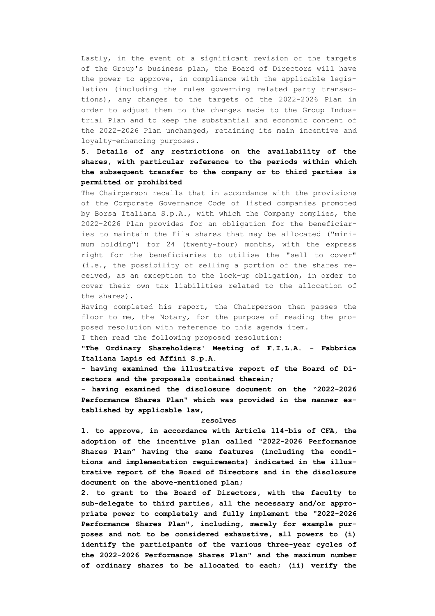Lastly, in the event of a significant revision of the targets of the Group's business plan, the Board of Directors will have the power to approve, in compliance with the applicable legislation (including the rules governing related party transactions), any changes to the targets of the 2022-2026 Plan in order to adjust them to the changes made to the Group Industrial Plan and to keep the substantial and economic content of the 2022-2026 Plan unchanged, retaining its main incentive and loyalty-enhancing purposes.

**5. Details of any restrictions on the availability of the shares, with particular reference to the periods within which the subsequent transfer to the company or to third parties is permitted or prohibited**

The Chairperson recalls that in accordance with the provisions of the Corporate Governance Code of listed companies promoted by Borsa Italiana S.p.A., with which the Company complies, the 2022-2026 Plan provides for an obligation for the beneficiaries to maintain the Fila shares that may be allocated ("minimum holding") for 24 (twenty-four) months, with the express right for the beneficiaries to utilise the "sell to cover" (i.e., the possibility of selling a portion of the shares received, as an exception to the lock-up obligation, in order to cover their own tax liabilities related to the allocation of the shares).

Having completed his report, the Chairperson then passes the floor to me, the Notary, for the purpose of reading the proposed resolution with reference to this agenda item.

I then read the following proposed resolution:

**"The Ordinary Shareholders' Meeting of F.I.L.A. - Fabbrica Italiana Lapis ed Affini S.p.A.**

**- having examined the illustrative report of the Board of Directors and the proposals contained therein;**

**- having examined the disclosure document on the "2022-2026 Performance Shares Plan" which was provided in the manner established by applicable law,**

### **resolves**

**1. to approve, in accordance with Article 114-bis of CFA, the adoption of the incentive plan called "2022-2026 Performance Shares Plan" having the same features (including the conditions and implementation requirements) indicated in the illustrative report of the Board of Directors and in the disclosure document on the above-mentioned plan;**

**2. to grant to the Board of Directors, with the faculty to sub-delegate to third parties, all the necessary and/or appropriate power to completely and fully implement the "2022-2026 Performance Shares Plan", including, merely for example purposes and not to be considered exhaustive, all powers to (i) identify the participants of the various three-year cycles of the 2022-2026 Performance Shares Plan" and the maximum number of ordinary shares to be allocated to each; (ii) verify the**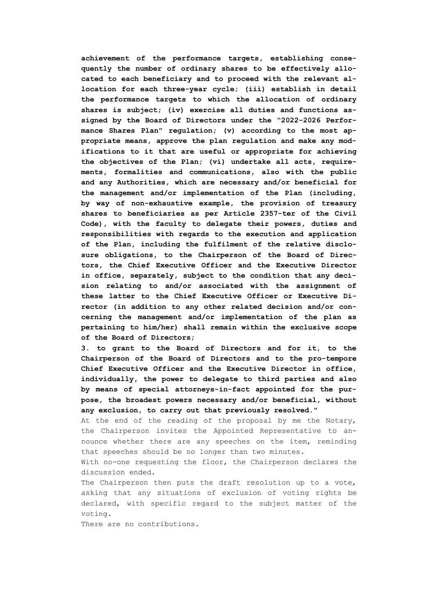**achievement of the performance targets, establishing consequently the number of ordinary shares to be effectively allocated to each beneficiary and to proceed with the relevant allocation for each three-year cycle; (iii) establish in detail the performance targets to which the allocation of ordinary shares is subject; (iv) exercise all duties and functions assigned by the Board of Directors under the "2022-2026 Performance Shares Plan" regulation; (v) according to the most appropriate means, approve the plan regulation and make any modifications to it that are useful or appropriate for achieving the objectives of the Plan; (vi) undertake all acts, requirements, formalities and communications, also with the public and any Authorities, which are necessary and/or beneficial for the management and/or implementation of the Plan (including, by way of non-exhaustive example, the provision of treasury shares to beneficiaries as per Article 2357-ter of the Civil Code), with the faculty to delegate their powers, duties and responsibilities with regards to the execution and application of the Plan, including the fulfilment of the relative disclosure obligations, to the Chairperson of the Board of Directors, the Chief Executive Officer and the Executive Director in office, separately, subject to the condition that any decision relating to and/or associated with the assignment of these latter to the Chief Executive Officer or Executive Director (in addition to any other related decision and/or concerning the management and/or implementation of the plan as pertaining to him/her) shall remain within the exclusive scope of the Board of Directors;**

**3. to grant to the Board of Directors and for it, to the Chairperson of the Board of Directors and to the pro-tempore Chief Executive Officer and the Executive Director in office, individually, the power to delegate to third parties and also by means of special attorneys-in-fact appointed for the purpose, the broadest powers necessary and/or beneficial, without any exclusion, to carry out that previously resolved."**

At the end of the reading of the proposal by me the Notary, the Chairperson invites the Appointed Representative to announce whether there are any speeches on the item, reminding that speeches should be no longer than two minutes.

With no-one requesting the floor, the Chairperson declares the discussion ended.

The Chairperson then puts the draft resolution up to a vote, asking that any situations of exclusion of voting rights be declared, with specific regard to the subject matter of the voting.

There are no contributions.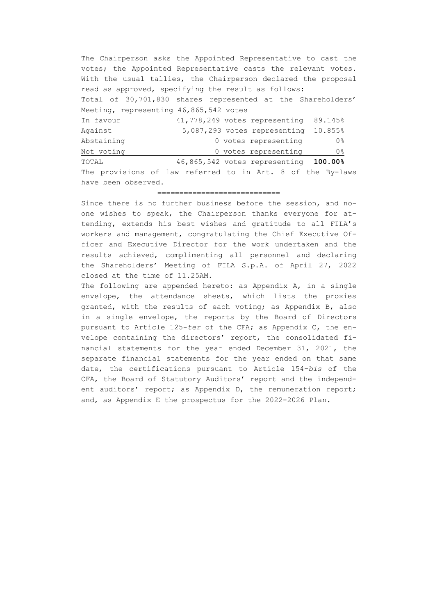The Chairperson asks the Appointed Representative to cast the votes; the Appointed Representative casts the relevant votes. With the usual tallies, the Chairperson declared the proposal read as approved, specifying the result as follows: Total of 30,701,830 shares represented at the Shareholders' Meeting, representing 46,865,542 votes In favour 41,778,249 votes representing 89.145% Against 5,087,293 votes representing 10.855% Abstaining 0 0 votes representing 0% Not voting  $\qquad \qquad 0$  votes representing  $\qquad \qquad 0\frac{8}{3}$ 

TOTAL 46,865,542 votes representing **100.00%** The provisions of law referred to in Art. 8 of the By-laws have been observed.

#### ============================

Since there is no further business before the session, and noone wishes to speak, the Chairperson thanks everyone for attending, extends his best wishes and gratitude to all FILA's workers and management, congratulating the Chief Executive Officer and Executive Director for the work undertaken and the results achieved, complimenting all personnel and declaring the Shareholders' Meeting of FILA S.p.A. of April 27, 2022 closed at the time of 11.25AM.

The following are appended hereto: as Appendix A, in a single envelope, the attendance sheets, which lists the proxies granted, with the results of each voting; as Appendix B, also in a single envelope, the reports by the Board of Directors pursuant to Article 125-*ter* of the CFA; as Appendix C, the envelope containing the directors' report, the consolidated financial statements for the year ended December 31, 2021, the separate financial statements for the year ended on that same date, the certifications pursuant to Article 154-*bis* of the CFA, the Board of Statutory Auditors' report and the independent auditors' report; as Appendix D, the remuneration report; and, as Appendix E the prospectus for the 2022-2026 Plan.